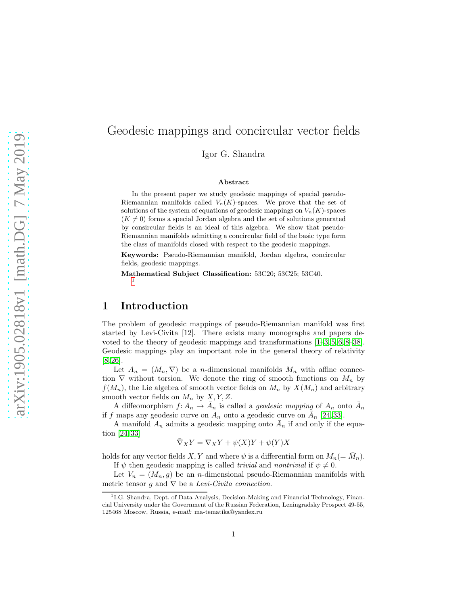## Geodesic mappings and concircular vector fields

Igor G. Shandra

#### Abstract

In the present paper we study geodesic mappings of special pseudo-Riemannian manifolds called  $V_n(K)$ -spaces. We prove that the set of solutions of the system of equations of geodesic mappings on  $V_n(K)$ -spaces  $(K \neq 0)$  forms a special Jordan algebra and the set of solutions generated by consircular fields is an ideal of this algebra. We show that pseudo-Riemannian manifolds admitting a concircular field of the basic type form the class of manifolds closed with respect to the geodesic mappings.

Keywords: Pseudo-Riemannian manifold, Jordan algebra, concircular fields, geodesic mappings.

Mathematical Subject Classification: 53C20; 53C25; 53C40. [1](#page-0-0)

## 1 Introduction

The problem of geodesic mappings of pseudo-Riemannian manifold was first started by Levi-Civita [12]. There exists many monographs and papers devoted to the theory of geodesic mappings and transformations [\[1](#page-10-0)[–3,](#page-10-1) [5,](#page-10-2) [6,](#page-10-3) [8–](#page-10-4)[38\]](#page-11-0). Geodesic mappings play an important role in the general theory of relativity [\[8,](#page-10-4) [26\]](#page-11-1).

Let  $A_n = (M_n, \nabla)$  be a *n*-dimensional manifolds  $M_n$  with affine connection  $\nabla$  without torsion. We denote the ring of smooth functions on  $M_n$  by  $f(M_n)$ , the Lie algebra of smooth vector fields on  $M_n$  by  $X(M_n)$  and arbitrary smooth vector fields on  $M_n$  by  $X, Y, Z$ .

A diffeomorphism  $f: A_n \to \overline{A}_n$  is called a *geodesic mapping* of  $A_n$  onto  $\overline{A}_n$ if f maps any geodesic curve on  $A_n$  onto a geodesic curve on  $\overline{A}_n$  [\[24,](#page-11-2) [33\]](#page-11-3).

A manifold  $A_n$  admits a geodesic mapping onto  $\overline{A}_n$  if and only if the equation [\[24,](#page-11-2) [33\]](#page-11-3)

$$
\overline{\nabla}_X Y = \nabla_X Y + \psi(X)Y + \psi(Y)X
$$

holds for any vector fields  $X, Y$  and where  $\psi$  is a differential form on  $M_n (= \bar{M}_n)$ . If  $\psi$  then geodesic mapping is called *trivial* and *nontrivial* if  $\psi \neq 0$ .

Let  $V_n = (M_n, g)$  be an *n*-dimensional pseudo-Riemannian manifolds with metric tensor g and  $\nabla$  be a *Levi-Civita connection*.

<span id="page-0-0"></span><sup>&</sup>lt;sup>1</sup>I.G. Shandra, Dept. of Data Analysis, Decision-Making and Financial Technology, Financial University under the Government of the Russian Federation, Leningradsky Prospect 49-55, 125468 Moscow, Russia, e-mail: ma-tematika@yandex.ru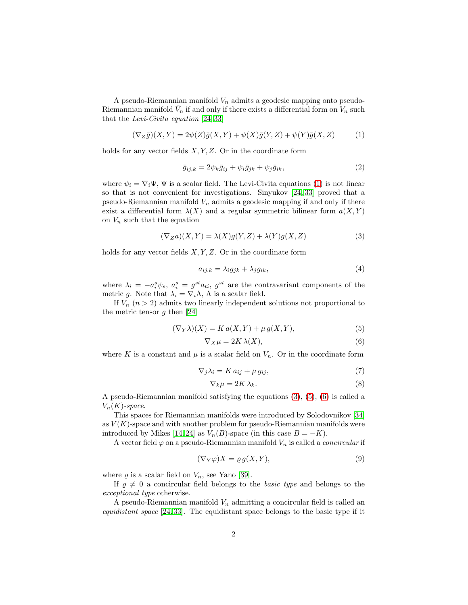A pseudo-Riemannian manifold  $V_n$  admits a geodesic mapping onto pseudo-Riemannian manifold  $\bar{V}_n$  if and only if there exists a differential form on  $V_n$  such that the *Levi-Civita equation* [\[24,](#page-11-2) [33\]](#page-11-3)

<span id="page-1-0"></span>
$$
(\nabla_Z \bar{g})(X,Y) = 2\psi(Z)\bar{g}(X,Y) + \psi(X)\bar{g}(Y,Z) + \psi(Y)\bar{g}(X,Z)
$$
(1)

holds for any vector fields  $X, Y, Z$ . Or in the coordinate form

<span id="page-1-4"></span>
$$
\bar{g}_{ij,k} = 2\psi_k \bar{g}_{ij} + \psi_i \bar{g}_{jk} + \psi_j \bar{g}_{ik},\tag{2}
$$

where  $\psi_i = \nabla_i \Psi$ ,  $\Psi$  is a scalar field. The Levi-Civita equations [\(1\)](#page-1-0) is not linear so that is not convenient for investigations. Sinyukov [\[24,](#page-11-2) [33\]](#page-11-3) proved that a pseudo-Riemannian manifold  $V_n$  admits a geodesic mapping if and only if there exist a differential form  $\lambda(X)$  and a regular symmetric bilinear form  $a(X, Y)$ on  $V_n$  such that the equation

<span id="page-1-1"></span>
$$
(\nabla_Z a)(X, Y) = \lambda(X)g(Y, Z) + \lambda(Y)g(X, Z)
$$
\n(3)

holds for any vector fields  $X, Y, Z$ . Or in the coordinate form

<span id="page-1-6"></span>
$$
a_{ij,k} = \lambda_i g_{jk} + \lambda_j g_{ik},\tag{4}
$$

where  $\lambda_i = -a_i^s \psi_s$ ,  $a_i^s = g^{st} a_{ti}$ ,  $g^{st}$  are the contravariant components of the metric g. Note that  $\lambda_i = \nabla_i \Lambda$ ,  $\Lambda$  is a scalar field.

If  $V_n$   $(n > 2)$  admits two linearly independent solutions not proportional to the metric tensor  $g$  then [\[24\]](#page-11-2)

<span id="page-1-2"></span>
$$
(\nabla_Y \lambda)(X) = K a(X, Y) + \mu g(X, Y), \tag{5}
$$

<span id="page-1-3"></span>
$$
\nabla_X \mu = 2K \lambda(X),\tag{6}
$$

where K is a constant and  $\mu$  is a scalar field on  $V_n$ . Or in the coordinate form

<span id="page-1-7"></span>
$$
\nabla_j \lambda_i = K a_{ij} + \mu g_{ij},\tag{7}
$$

<span id="page-1-8"></span>
$$
\nabla_k \mu = 2K \lambda_k. \tag{8}
$$

A pseudo-Riemannian manifold satisfying the equations [\(3\)](#page-1-1), [\(5\)](#page-1-2), [\(6\)](#page-1-3) is called a  $V_n(K)$ -space.

This spaces for Riemannian manifolds were introduced by Solodovnikov [\[34\]](#page-11-4) as  $V(K)$ -space and with another problem for pseudo-Riemannian manifolds were introduced by Mikes [\[14,](#page-10-5) [24\]](#page-11-2) as  $V_n(B)$ -space (in this case  $B = -K$ ).

A vector field  $\varphi$  on a pseudo-Riemannian manifold  $V_n$  is called a *concircular* if

<span id="page-1-5"></span>
$$
(\nabla_Y \varphi)X = \varrho \, g(X, Y),\tag{9}
$$

where  $\varrho$  is a scalar field on  $V_n$ , see Yano [\[39\]](#page-11-5).

If  $\rho \neq 0$  a concircular field belongs to the *basic type* and belongs to the *exceptional type* otherwise.

A pseudo-Riemannian manifold  $V_n$  admitting a concircular field is called an *equidistant space* [\[24,](#page-11-2) [33\]](#page-11-3). The equidistant space belongs to the basic type if it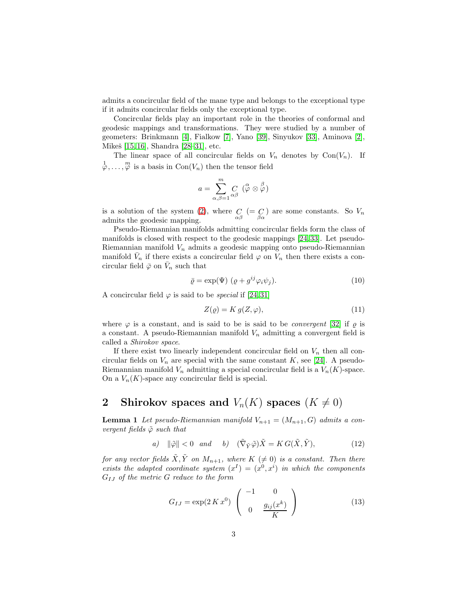admits a concircular field of the mane type and belongs to the exceptional type if it admits concircular fields only the exceptional type.

Concircular fields play an important role in the theories of conformal and geodesic mappings and transformations. They were studied by a number of geometers: Brinkmann [\[4\]](#page-10-6), Fialkow [\[7\]](#page-10-7), Yano [\[39\]](#page-11-5), Sinyukov [\[33\]](#page-11-3), Aminova [\[2\]](#page-10-8), Mikeš [\[15,](#page-10-9) [16\]](#page-10-10), Shandra [\[28–](#page-11-6)[31\]](#page-11-7), etc.

The linear space of all concircular fields on  $V_n$  denotes by Con $(V_n)$ . If  $\varphi$ ,...,  $\varphi$  is a basis in Con( $V_n$ ) then the tensor field

$$
a=\sum_{\alpha,\beta=1}^m \underset{\alpha\beta}{C}~(\overset{\alpha}{\varphi}\otimes \overset{\beta}{\varphi})
$$

is a solution of the system [\(2\)](#page-1-4), where  $C\underset{\alpha\beta}{C} (= C)$  are some constants. So  $V_n$ admits the geodesic mapping.

Pseudo-Riemannian manifolds admitting concircular fields form the class of manifolds is closed with respect to the geodesic mappings [\[24,](#page-11-2) [33\]](#page-11-3). Let pseudo-Riemannian manifold  $V_n$  admits a geodesic mapping onto pseudo-Riemannian manifold  $\bar{V}_n$  if there exists a concircular field  $\varphi$  on  $V_n$  then there exists a concircular field  $\bar{\varphi}$  on  $\bar{V}_n$  such that

<span id="page-2-3"></span>
$$
\bar{\varrho} = \exp(\Psi) \ (\varrho + g^{ij} \varphi_i \psi_j). \tag{10}
$$

A concircular field  $\varphi$  is said to be *special* if [\[24,](#page-11-2) [31\]](#page-11-7)

<span id="page-2-2"></span>
$$
Z(\varrho) = K g(Z, \varphi),\tag{11}
$$

where  $\varphi$  is a constant, and is said to be is said to be *convergent* [\[32\]](#page-11-8) if  $\rho$  is a constant. A pseudo-Riemannian manifold  $V_n$  admitting a convergent field is called a *Shirokov space*.

If there exist two linearly independent concircular field on  $V_n$  then all concircular fields on  $V_n$  are special with the same constant K, see [\[24\]](#page-11-2). A pseudo-Riemannian manifold  $V_n$  admitting a special concircular field is a  $V_n(K)$ -space. On a  $V_n(K)$ -space any concircular field is special.

# 2 Shirokov spaces and  $V_n(K)$  spaces  $(K \neq 0)$

**Lemma 1** Let pseudo-Riemannian manifold  $V_{n+1} = (M_{n+1}, G)$  admits a con*vergent fields* ϕ˜ *such that*

<span id="page-2-0"></span>a) 
$$
\|\tilde{\varphi}\| < 0
$$
 and b)  $(\tilde{\nabla}_{\tilde{Y}}\tilde{\varphi})\tilde{X} = KG(\tilde{X}, \tilde{Y}),$  (12)

*for any vector fields*  $\tilde{X}, \tilde{Y}$  *on*  $M_{n+1}$ *, where*  $K \neq 0$ *) is a constant. Then there* exists the adapted coordinate system  $(x^I) = (x^0, x^i)$  in which the components GIJ *of the metric* G *reduce to the form*

<span id="page-2-1"></span>
$$
G_{IJ} = \exp(2 \, K \, x^0) \left( \begin{array}{cc} -1 & 0 \\ 0 & \frac{g_{ij}(x^k)}{K} \end{array} \right) \tag{13}
$$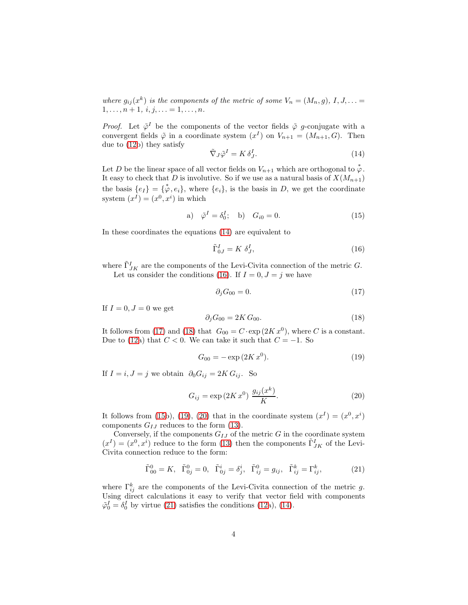where  $g_{ij}(x^k)$  is the components of the metric of some  $V_n = (M_n, g), I, J, ... =$  $1, \ldots, n + 1, i, j, \ldots = 1, \ldots, n.$ 

*Proof.* Let  $\tilde{\varphi}^I$  be the components of the vector fields  $\tilde{\varphi}$  g-conjugate with a convergent fields  $\tilde{\varphi}$  in a coordinate system  $(x^{I})$  on  $V_{n+1} = (M_{n+1}, G)$ . Then due to [\(12b](#page-2-0)) they satisfy

<span id="page-3-0"></span>
$$
\tilde{\nabla}_J \tilde{\varphi}^I = K \, \delta^I_J. \tag{14}
$$

Let D be the linear space of all vector fields on  $V_{n+1}$  which are orthogonal to  $\stackrel{*}{\varphi}$ . It easy to check that D is involutive. So if we use as a natural basis of  $X(M_{n+1})$ the basis  $\{e_I\} = \{\phi, e_i\}$ , where  $\{e_i\}$ , is the basis in D, we get the coordinate system  $(x^I) = (x^0, x^i)$  in which

<span id="page-3-4"></span>a) 
$$
\tilde{\varphi}^I = \delta_0^I;
$$
 b)  $G_{i0} = 0.$  (15)

In these coordinates the equations [\(14\)](#page-3-0) are equivalent to

<span id="page-3-1"></span>
$$
\tilde{\Gamma}_{0J}^I = K \delta_J^I,\tag{16}
$$

where  $\tilde{\Gamma}^I_{JK}$  are the components of the Levi-Civita connection of the metric G. Let us consider the conditions [\(16\)](#page-3-1). If  $I = 0, J = j$  we have

<span id="page-3-2"></span>
$$
\partial_j G_{00} = 0. \tag{17}
$$

If  $I = 0, J = 0$  we get

<span id="page-3-3"></span>
$$
\partial_j G_{00} = 2K G_{00}.\tag{18}
$$

It follows from [\(17\)](#page-3-2) and [\(18\)](#page-3-3) that  $G_{00} = C \cdot \exp(2K x^0)$ , where C is a constant. Due to [\(12a](#page-2-0)) that  $C < 0$ . We can take it such that  $C = -1$ . So

<span id="page-3-5"></span>
$$
G_{00} = -\exp(2K x^0). \tag{19}
$$

If  $I = i, J = j$  we obtain  $\partial_0 G_{ij} = 2K G_{ij}$ . So

<span id="page-3-6"></span>
$$
G_{ij} = \exp(2K x^0) \frac{g_{ij}(x^k)}{K}.
$$
 (20)

It follows from [\(15b](#page-3-4)), [\(19\)](#page-3-5), [\(20\)](#page-3-6) that in the coordinate system  $(x^I) = (x^0, x^i)$ components  $G_{IJ}$  reduces to the form [\(13\)](#page-2-1).

Conversely, if the components  $G_{IJ}$  of the metric  $G$  in the coordinate system  $(x^{I}) = (x^{0}, x^{i})$  reduce to the form [\(13\)](#page-2-1) then the components  $\tilde{\Gamma}^{I}_{JK}$  of the Levi-Civita connection reduce to the form:

<span id="page-3-7"></span>
$$
\tilde{\Gamma}_{00}^{0} = K, \quad \tilde{\Gamma}_{0j}^{0} = 0, \quad \tilde{\Gamma}_{0j}^{i} = \delta_{j}^{i}, \quad \tilde{\Gamma}_{ij}^{0} = g_{ij}, \quad \tilde{\Gamma}_{ij}^{k} = \Gamma_{ij}^{k}, \tag{21}
$$

where  $\Gamma_{ij}^k$  are the components of the Levi-Civita connection of the metric g. Using direct calculations it easy to verify that vector field with components  $\tilde{\varphi}_0^I = \delta_0^I$  by virtue [\(21\)](#page-3-7) satisfies the conditions [\(12a](#page-2-0)), [\(14\)](#page-3-0).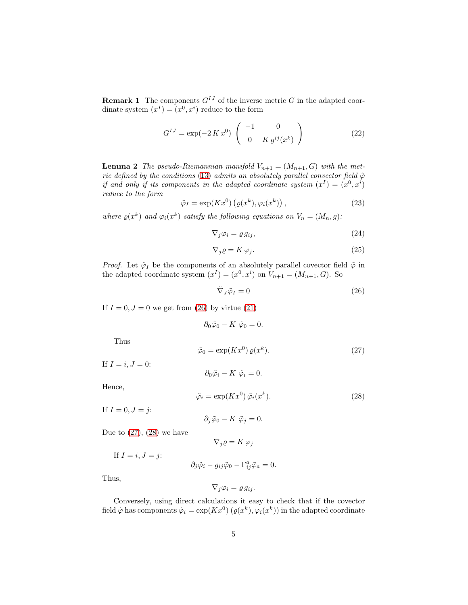**Remark 1** The components  $G^{IJ}$  of the inverse metric G in the adapted coordinate system  $(x^{I}) = (x^{0}, x^{i})$  reduce to the form

<span id="page-4-7"></span>
$$
G^{IJ} = \exp(-2 \, K \, x^0) \begin{pmatrix} -1 & 0 \\ 0 & K \, g^{ij}(x^k) \end{pmatrix} \tag{22}
$$

<span id="page-4-6"></span>**Lemma 2** The pseudo-Riemannian manifold  $V_{n+1} = (M_{n+1}, G)$  with the met*ric defined by the conditions* [\(13\)](#page-2-1) *admits an absolutely parallel convector field*  $\tilde{\varphi}$ *if and only if its components in the adapted coordinate system*  $(x^I) = (x^0, x^i)$ *reduce to the form*

<span id="page-4-5"></span>
$$
\tilde{\varphi}_I = \exp(Kx^0) \left( \varrho(x^k), \varphi_i(x^k) \right), \tag{23}
$$

where  $\varrho(x^k)$  and  $\varphi_i(x^k)$  satisfy the following equations on  $V_n = (M_n, g)$ :

<span id="page-4-3"></span>
$$
\nabla_j \varphi_i = \varrho \, g_{ij},\tag{24}
$$

<span id="page-4-4"></span>
$$
\nabla_j \varrho = K \varphi_j. \tag{25}
$$

*Proof.* Let  $\tilde{\varphi}_I$  be the components of an absolutely parallel covector field  $\tilde{\varphi}$  in the adapted coordinate system  $(x^I) = (x^0, x^i)$  on  $V_{n+1} = (M_{n+1}, G)$ . So

<span id="page-4-0"></span>
$$
\tilde{\nabla}_J \tilde{\varphi}_I = 0 \tag{26}
$$

If  $I = 0, J = 0$  we get from [\(26\)](#page-4-0) by virtue [\(21\)](#page-3-7)

$$
\partial_0 \tilde{\varphi}_0 - K \tilde{\varphi}_0 = 0.
$$
  

$$
\tilde{\varphi}_0 = \exp(Kx^0) \varrho(x^k).
$$
 (27)

Thus

If 
$$
I = i, J = 0
$$
:

Hence,

<span id="page-4-2"></span>
$$
\tilde{\varphi}_i = \exp(Kx^0)\,\tilde{\varphi}_i(x^k). \tag{28}
$$

If  $I = 0, J = j$ :

 $\partial_j\tilde{\varphi}_0 - K \tilde{\varphi}_j = 0.$ 

<span id="page-4-1"></span> $\partial_0 \tilde{\varphi}_i - K \tilde{\varphi}_i = 0.$ 

Due to  $(27)$ ,  $(28)$  we have

$$
\nabla_j \varrho = K \varphi_j
$$

If 
$$
I = i, J = j
$$
:

$$
\partial_j \tilde{\varphi}_i - g_{ij} \tilde{\varphi}_0 - \Gamma^a_{ij} \tilde{\varphi}_a = 0.
$$

Thus,

$$
\nabla_j \varphi_i = \varrho \, g_{ij}.
$$

Conversely, using direct calculations it easy to check that if the covector field  $\tilde{\varphi}$  has components  $\tilde{\varphi}_i = \exp(Kx^0) \left( \varrho(x^k), \varphi_i(x^k) \right)$  in the adapted coordinate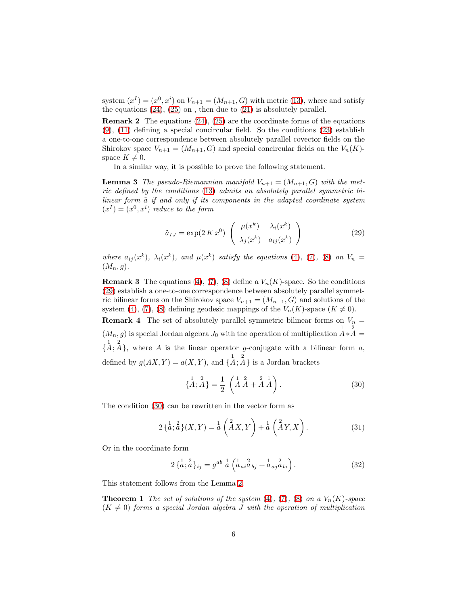system  $(x^{I}) = (x^{0}, x^{i})$  on  $V_{n+1} = (M_{n+1}, G)$  with metric [\(13\)](#page-2-1), where and satisfy the equations  $(24)$ ,  $(25)$  on, then due to  $(21)$  is absolutely parallel.

**Remark 2** The equations  $(24)$ ,  $(25)$  are the coordinate forms of the equations [\(9\)](#page-1-5), [\(11\)](#page-2-2) defining a special concircular field. So the conditions [\(23\)](#page-4-5) establish a one-to-one correspondence between absolutely parallel covector fields on the Shirokov space  $V_{n+1} = (M_{n+1}, G)$  and special concircular fields on the  $V_n(K)$ space  $K \neq 0$ .

In a similar way, it is possible to prove the following statement.

**Lemma 3** *The pseudo-Riemannian manifold*  $V_{n+1} = (M_{n+1}, G)$  *with the metric defined by the conditions* [\(13\)](#page-2-1) *admits an absolutely parallel symmetric bilinear form*  $\tilde{a}$  *if and only if its components in the adapted coordinate system*  $(x^{I}) = (x^{0}, x^{i})$  *reduce to the form* 

<span id="page-5-0"></span>
$$
\tilde{a}_{IJ} = \exp(2 \, K \, x^0) \left( \begin{array}{cc} \mu(x^k) & \lambda_i(x^k) \\ \lambda_j(x^k) & a_{ij}(x^k) \end{array} \right) \tag{29}
$$

where  $a_{ij}(x^k)$ ,  $\lambda_i(x^k)$ , and  $\mu(x^k)$  satisfy the equations [\(4\)](#page-1-6), [\(7\)](#page-1-7), [\(8\)](#page-1-8) on  $V_n =$  $(M_n, g)$ .

**Remark 3** The equations [\(4\)](#page-1-6), [\(7\)](#page-1-7), [\(8\)](#page-1-8) define a  $V_n(K)$ -space. So the conditions [\(29\)](#page-5-0) establish a one-to-one correspondence between absolutely parallel symmetric bilinear forms on the Shirokov space  $V_{n+1} = (M_{n+1}, G)$  and solutions of the system [\(4\)](#page-1-6), [\(7\)](#page-1-7), [\(8\)](#page-1-8) defining geodesic mappings of the  $V_n(K)$ -space  $(K \neq 0)$ .

**Remark 4** The set of absolutely parallel symmetric bilinear forms on  $V_n$  =  $(M_n, g)$  is special Jordan algebra  $J_0$  with the operation of multiplication  $\overline{A}^* A =$  ${1 \atop 4}$ ; A, where A is the linear operator g-conjugate with a bilinear form a, defined by  $g(AX, Y) = a(X, Y)$ , and  $\{A; A\}$  is a Jordan brackets 1 2

<span id="page-5-1"></span>
$$
\{A; \stackrel{1}{A}\} = \frac{1}{2} \left( \stackrel{1}{A} \stackrel{2}{A} + \stackrel{2}{A} \stackrel{1}{A} \right). \tag{30}
$$

The condition [\(30\)](#page-5-1) can be rewritten in the vector form as

<span id="page-5-3"></span>
$$
2\left\{a; \frac{2}{a}\right\}(X,Y) = a\left(\stackrel{2}{A}X,Y\right) + a\left(\stackrel{2}{A}Y,X\right). \tag{31}
$$

Or in the coordinate form

<span id="page-5-2"></span>
$$
2\left\{\stackrel{1}{a},\stackrel{2}{a}\right\}_{ij} = g^{ab}\stackrel{1}{a}\left(\stackrel{1}{a}_{ai}\stackrel{2}{a}_{bj} + \stackrel{1}{a}_{aj}\stackrel{2}{a}_{bi}\right). \tag{32}
$$

This statement follows from the Lemma [2.](#page-4-6)

**Theorem 1** *The set of solutions of the system* [\(4\)](#page-1-6), [\(7\)](#page-1-7), [\(8\)](#page-1-8) *on a*  $V_n(K)$ -space  $(K \neq 0)$  *forms a special Jordan algebra J with the operation of multiplication*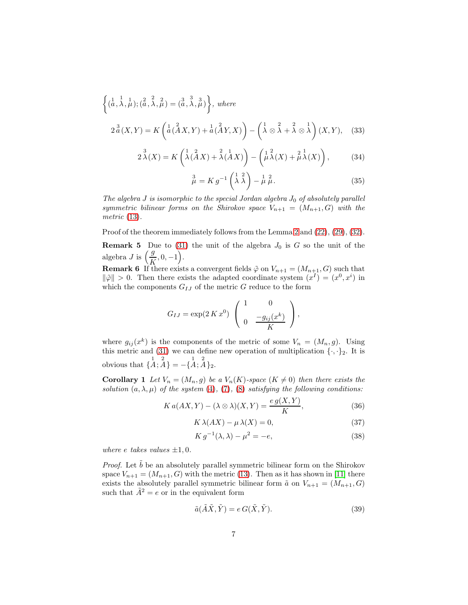<span id="page-6-1"></span>
$$
\left\{ (\overset{1}{a}, \overset{1}{\lambda}, \overset{1}{\mu}); (\overset{2}{a}, \overset{2}{\lambda}, \overset{2}{\mu}) = (\overset{3}{a}, \overset{3}{\lambda}, \overset{3}{\mu}) \right\}, \text{ where}
$$
\n
$$
2 \overset{3}{a}(X, Y) = K \left( \overset{1}{a} (\overset{2}{A} X, Y) + \overset{1}{a} (\overset{2}{A} Y, X) \right) - \left( \overset{1}{\lambda} \otimes \overset{2}{\lambda} + \overset{2}{\lambda} \otimes \overset{1}{\lambda} \right) (X, Y), \quad (33)
$$

<span id="page-6-2"></span>
$$
2\stackrel{3}{\lambda}(X) = K\left(\stackrel{1}{\lambda}(\stackrel{2}{A}X) + \stackrel{2}{\lambda}(\stackrel{1}{A}X)\right) - \left(\stackrel{1}{\mu}\stackrel{2}{\lambda}(X) + \stackrel{2}{\mu}\stackrel{1}{\lambda}(X)\right),\tag{34}
$$

<span id="page-6-3"></span>
$$
\stackrel{3}{\mu} = K g^{-1} \left( \stackrel{1}{\lambda} \stackrel{2}{\lambda} \right) - \stackrel{1}{\mu} \stackrel{2}{\mu}.
$$
 (35)

*The algebra*  $J$  *is isomorphic to the special Jordan algebra*  $J_0$  *of absolutely parallel symmetric bilinear forms on the Shirokov space*  $V_{n+1} = (M_{n+1}, G)$  with the *metric* [\(13\)](#page-2-1)*.*

Proof of the theorem immediately follows from the Lemma [2](#page-4-6) and [\(22\)](#page-4-7), [\(29\)](#page-5-0), [\(32\)](#page-5-2).

**Remark 5** Due to [\(31\)](#page-5-3) the unit of the algebra  $J_0$  is G so the unit of the algebra *J* is  $\left(\frac{g}{K}, 0, -1\right)$ .

**Remark 6** If there exists a convergent fields  $\tilde{\varphi}$  on  $V_{n+1} = (M_{n+1}, G)$  such that  $\|\tilde{\varphi}\| > 0$ . Then there exists the adapted coordinate system  $(x^I) = (x^0, x^i)$  in which the components  $G_{IJ}$  of the metric G reduce to the form

$$
G_{IJ} = \exp(2 \, K \, x^0) \left( \begin{array}{cc} 1 & 0 \\ 0 & \frac{-g_{ij}(x^k)}{K} \end{array} \right),
$$

where  $g_{ij}(x^k)$  is the components of the metric of some  $V_n = (M_n, g)$ . Using this metric and [\(31\)](#page-5-3) we can define new operation of multiplication  $\{\cdot,\cdot\}_2$ . It is obvious that  $\{A; A\} = -\{A; A\}_2$ .

**Corollary 1** Let  $V_n = (M_n, g)$  be a  $V_n(K)$ -space  $(K \neq 0)$  then there exists the *solution*  $(a, \lambda, \mu)$  *of the system* [\(4\)](#page-1-6)*,* [\(7\)](#page-1-7)*,* [\(8\)](#page-1-8) *satisfying the following conditions:* 

<span id="page-6-4"></span>
$$
K a(AX, Y) - (\lambda \otimes \lambda)(X, Y) = \frac{e g(X, Y)}{K},
$$
\n(36)

<span id="page-6-5"></span>
$$
K \lambda(AX) - \mu \lambda(X) = 0,\t\t(37)
$$

<span id="page-6-6"></span>
$$
K g^{-1}(\lambda, \lambda) - \mu^2 = -e,\tag{38}
$$

*where*  $e$  *takes values*  $\pm 1, 0$ *.* 

*Proof.* Let b be an absolutely parallel symmetric bilinear form on the Shirokov space  $V_{n+1} = (M_{n+1}, G)$  with the metric [\(13\)](#page-2-1). Then as it has shown in [\[11\]](#page-10-11) there exists the absolutely parallel symmetric bilinear form  $\tilde{a}$  on  $V_{n+1} = (M_{n+1}, G)$ such that  $\tilde{A}^2 = e$  or in the equivalent form

<span id="page-6-0"></span>
$$
\tilde{a}(\tilde{A}\tilde{X}, \tilde{Y}) = e G(\tilde{X}, \tilde{Y}).
$$
\n(39)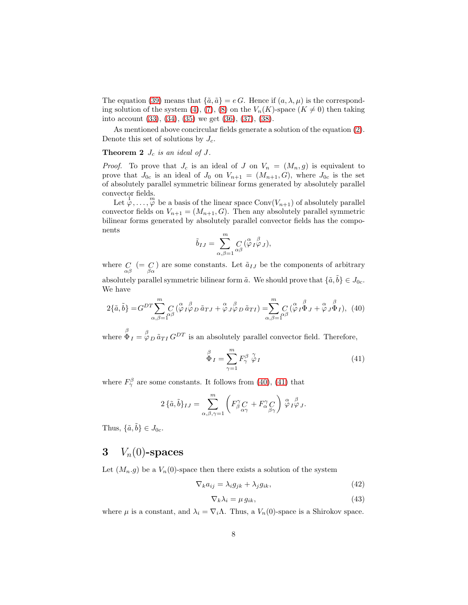The equation [\(39\)](#page-6-0) means that  $\{\tilde{a}, \tilde{a}\} = e G$ . Hence if  $(a, \lambda, \mu)$  is the correspond-ing solution of the system [\(4\)](#page-1-6), [\(7\)](#page-1-7), [\(8\)](#page-1-8) on the  $V_n(K)$ -space  $(K \neq 0)$  then taking into account [\(33\)](#page-6-1), [\(34\)](#page-6-2), [\(35\)](#page-6-3) we get [\(36\)](#page-6-4), [\(37\)](#page-6-5), [\(38\)](#page-6-6).

As mentioned above concircular fields generate a solution of the equation [\(2\)](#page-1-4). Denote this set of solutions by  $J_c$ .

### **Theorem 2**  $J_c$  *is an ideal of*  $J$ *.*

*Proof.* To prove that  $J_c$  is an ideal of J on  $V_n = (M_n, g)$  is equivalent to prove that  $J_{0c}$  is an ideal of  $J_0$  on  $V_{n+1} = (M_{n+1}, G)$ , where  $J_{0c}$  is the set of absolutely parallel symmetric bilinear forms generated by absolutely parallel convector fields.

Let  $\varphi, \ldots, \varphi$  be a basis of the linear space Conv $(V_{n+1})$  of absolutely parallel convector fields on  $V_{n+1} = (M_{n+1}, G)$ . Then any absolutely parallel symmetric bilinear forms generated by absolutely parallel convector fields has the components

$$
\tilde{b}_{IJ} = \sum_{\alpha,\beta=1}^m C_{\alpha\beta}^{\alpha} (\overset{\alpha}{\varphi}_I \overset{\beta}{\varphi}_J),
$$

where  $C\atop{\alpha\beta}$  (= C) are some constants. Let  $\tilde{a}_{IJ}$  be the components of arbitrary absolutely parallel symmetric bilinear form  $\tilde{a}$ . We should prove that  $\{\tilde{a}, \tilde{b}\} \in J_{0c}$ . We have

<span id="page-7-0"></span>
$$
2\{\tilde{a},\tilde{b}\} = G^{DT} \sum_{\alpha,\beta=1}^{m} C \left(\overset{\alpha}{\varphi} \, I \overset{\beta}{\varphi} \, D \tilde{a}_{TJ} + \overset{\alpha}{\varphi} \, J \overset{\beta}{\varphi} \, D \tilde{a}_{TI}\right) = \sum_{\alpha,\beta=1}^{m} C \left(\overset{\alpha}{\varphi} \, I \overset{\beta}{\Phi} \, J + \overset{\alpha}{\varphi} \, J \overset{\beta}{\Phi} \, I\right), \tag{40}
$$

where  $\stackrel{\beta}{\Phi}_I = \stackrel{\beta}{\varphi}_D \tilde{a}_{TI} G^{DT}$  is an absolutely parallel convector field. Therefore,

<span id="page-7-1"></span>
$$
\stackrel{\beta}{\Phi}_I = \sum_{\gamma=1}^m F_{\gamma}^{\beta} \stackrel{\gamma}{\varphi}_I \tag{41}
$$

where  $F_{\gamma}^{\beta}$  are some constants. It follows from [\(40\)](#page-7-0), [\(41\)](#page-7-1) that

$$
2\,\{\tilde{a},\tilde{b}\}_{IJ} = \sum_{\alpha,\beta,\gamma=1}^{m} \left( F_{\beta}^{\gamma} C_{\alpha\gamma} + F_{\alpha}^{\gamma} C_{\beta\gamma} \right) \stackrel{\alpha}{\varphi}{}_{I}^{\beta} \varphi_{J}.
$$

Thus,  $\{\tilde{a}, \tilde{b}\} \in J_{0c}$ .

# 3  $V_n(0)$ -spaces

Let  $(M_n, g)$  be a  $V_n(0)$ -space then there exists a solution of the system

<span id="page-7-3"></span>
$$
\nabla_k a_{ij} = \lambda_i g_{jk} + \lambda_j g_{ik},\tag{42}
$$

<span id="page-7-4"></span><span id="page-7-2"></span>
$$
\nabla_k \lambda_i = \mu \, g_{ik},\tag{43}
$$

where  $\mu$  is a constant, and  $\lambda_i = \nabla_i \Lambda$ . Thus, a  $V_n(0)$ -space is a Shirokov space.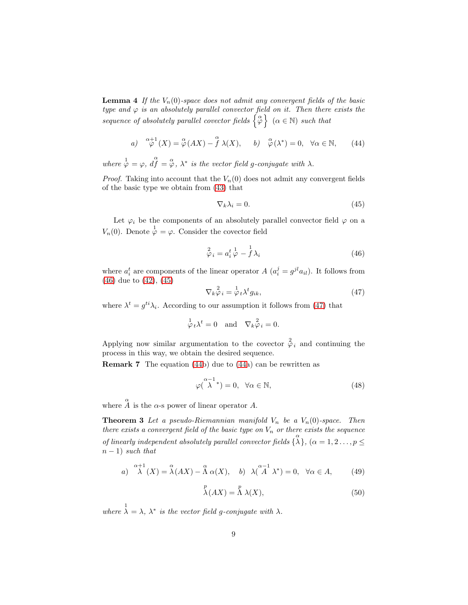**Lemma 4** If the  $V_n(0)$ -space does not admit any convergent fields of the basic *type and*  $\varphi$  *is an absolutely parallel convector field on it. Then there exists the sequence of absolutely parallel covector fields*  $\left\{ \begin{array}{c} \alpha \\ \varphi \end{array} \right\}$  ( $\alpha \in \mathbb{N}$ ) *such that* 

<span id="page-8-3"></span>a) 
$$
\overset{\alpha+1}{\varphi}(X) = \overset{\alpha}{\varphi}(AX) - \overset{\alpha}{f}\lambda(X), \quad b) \overset{\alpha}{\varphi}(\lambda^*) = 0, \quad \forall \alpha \in \mathbb{N}, \quad (44)
$$

where  $\phi = \varphi$ ,  $d\hat{f} = \overset{\alpha}{\varphi}$ ,  $\lambda^*$  is the vector field g-conjugate with  $\lambda$ .

*Proof.* Taking into account that the  $V_n(0)$  does not admit any convergent fields of the basic type we obtain from [\(43\)](#page-7-2) that

<span id="page-8-1"></span>
$$
\nabla_k \lambda_i = 0. \tag{45}
$$

Let  $\varphi_i$  be the components of an absolutely parallel convector field  $\varphi$  on a  $V_n(0)$ . Denote  $\varphi = \varphi$ . Consider the covector field

<span id="page-8-0"></span>
$$
\stackrel{2}{\varphi}_i = a_i^t \stackrel{1}{\varphi} - \stackrel{1}{f} \lambda_i \tag{46}
$$

where  $a_i^t$  are components of the linear operator  $A(a_i^j = g^{jl} a_{il})$ . It follows from [\(46\)](#page-8-0) due to [\(42\)](#page-7-3), [\(45\)](#page-8-1)

<span id="page-8-2"></span>
$$
\nabla_k \varphi_i = \varphi_t \lambda^t g_{ik},\tag{47}
$$

where  $\lambda^t = g^{ti}\lambda_i$ . According to our assumption it follows from [\(47\)](#page-8-2) that

$$
\varphi_t \lambda^t = 0
$$
 and  $\nabla_k \varphi_i = 0$ .

Applying now similar argumentation to the covector  $\hat{\varphi}_i$  and continuing the process in this way, we obtain the desired sequence.

Remark 7 The equation [\(44b](#page-8-3)) due to [\(44a](#page-8-3)) can be rewritten as

<span id="page-8-6"></span><span id="page-8-5"></span>
$$
\varphi(\stackrel{\alpha-1}{\lambda}{}^*) = 0, \quad \forall \alpha \in \mathbb{N}, \tag{48}
$$

where  $\hat{A}$  is the  $\alpha$ -s power of linear operator A.

**Theorem 3** Let a pseudo-Riemannian manifold  $V_n$  be a  $V_n(0)$ -space. Then *there exists a convergent field of the basic type on*  $V_n$  *or there exists the sequence of linearly independent absolutely parallel convector fields*  $\{\lambda\}$ ,  $(\alpha = 1, 2, \ldots, p \leq$  $n-1)$  *such that* 

<span id="page-8-7"></span>a) 
$$
\lambda^{a+1}(X) = \lambda^{a}(AX) - \Lambda^{a}(X),
$$
 b)  $\lambda^{a-1}(A^{\lambda}) = 0, \forall \alpha \in A,$  (49)

<span id="page-8-4"></span>
$$
\stackrel{p}{\lambda}(AX) = \stackrel{p}{\Lambda}\lambda(X),\tag{50}
$$

where  $\lambda = \lambda$ ,  $\lambda^*$  is the vector field g-conjugate with  $\lambda$ .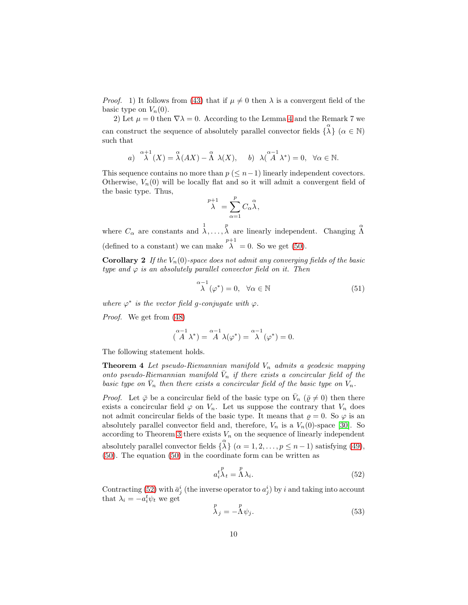*Proof.* 1) It follows from [\(43\)](#page-7-2) that if  $\mu \neq 0$  then  $\lambda$  is a convergent field of the basic type on  $V_n(0)$ .

2) Let  $\mu = 0$  then  $\nabla \lambda = 0$ . According to the Lemma [4](#page-7-4) and the Remark 7 we can construct the sequence of absolutely parallel convector fields  $\{ \overset{\alpha}{\lambda} \}$   $(\alpha \in \mathbb{N})$ such that

a) 
$$
\mathop{\lambda}\limits^{\alpha+1}(X) = \mathop{\lambda}\limits^{\alpha}(AX) - \mathop{\lambda}\limits^{\alpha}\lambda(X), \quad b) \lambda(\mathop{\lambda}\limits^{\alpha-1}\lambda^*) = 0, \ \forall \alpha \in \mathbb{N}.
$$

This sequence contains no more than  $p \leq n-1$ ) linearly independent covectors. Otherwise,  $V_n(0)$  will be locally flat and so it will admit a convergent field of the basic type. Thus,

$$
\bigwedge^{p+1} = \sum_{\alpha=1}^p C_{\alpha} \bigwedge^{\alpha},
$$

where  $C_{\alpha}$  are constants and  $\lambda, \ldots, \lambda$  are linearly independent. Changing  $\stackrel{\alpha}{\Lambda}$ (defined to a constant) we can make  $\lambda^{p+1} = 0$ . So we get [\(50\)](#page-8-4).

**Corollary 2** If the  $V_n(0)$ -space does not admit any converging fields of the basic *type and*  $\varphi$  *is an absolutely parallel convector field on it. Then* 

<span id="page-9-1"></span>
$$
\mathop{\lambda}\limits^{\alpha-1}(\varphi^*)=0, \quad \forall \alpha \in \mathbb{N}
$$
\n(51)

where  $\varphi^*$  is the vector field g-conjugate with  $\varphi$ .

*Proof.* We get from [\(48\)](#page-8-5)

<span id="page-9-3"></span>
$$
\left(\overset{\alpha-1}{A}\lambda^*\right)=\overset{\alpha-1}{A}\lambda(\varphi^*)=\overset{\alpha-1}{\lambda}(\varphi^*)=0.
$$

The following statement holds.

**Theorem 4** Let pseudo-Riemannian manifold  $V_n$  admits a geodesic mapping *onto pseudo-Riemannian manifold*  $\bar{V}_n$  *if there exists a concircular field of the basic type on*  $\bar{V}_n$  *then there exists a concircular field of the basic type on*  $V_n$ *.* 

*Proof.* Let  $\bar{\varphi}$  be a concircular field of the basic type on  $\bar{V}_n$  ( $\bar{\varrho} \neq 0$ ) then there exists a concircular field  $\varphi$  on  $V_n$ . Let us suppose the contrary that  $V_n$  does not admit concircular fields of the basic type. It means that  $\varrho = 0$ . So  $\varphi$  is an absolutely parallel convector field and, therefore,  $V_n$  is a  $V_n(0)$ -space [\[30\]](#page-11-9). So according to Theorem [3](#page-8-6) there exists  $V_n$  on the sequence of linearly independent absolutely parallel convector fields  $\{ \lambda \}$   $(\alpha = 1, 2, \ldots, p \leq n - 1)$  satisfying [\(49\)](#page-8-7), [\(50\)](#page-8-4). The equation [\(50\)](#page-8-4) in the coordinate form can be written as

<span id="page-9-0"></span>
$$
a_i^{\ t} \lambda_t = \Lambda \lambda_i. \tag{52}
$$

Contracting [\(52\)](#page-9-0) with  $\bar{a}_j^i$  (the inverse operator to  $a_j^i$ ) by i and taking into account that  $\lambda_i = -a_i^t \psi_t$  we get

<span id="page-9-2"></span>
$$
\stackrel{p}{\lambda}_j = -\stackrel{p}{\Lambda}\psi_j. \tag{53}
$$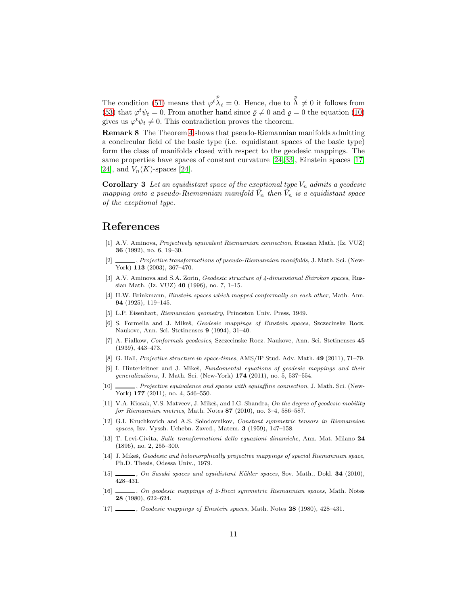The condition [\(51\)](#page-9-1) means that  $\varphi^{t}_{\lambda t} = 0$ . Hence, due to  $\Lambda \neq 0$  it follows from [\(53\)](#page-9-2) that  $\varphi^t \psi_t = 0$ . From another hand since  $\bar{\varrho} \neq 0$  and  $\varrho = 0$  the equation [\(10\)](#page-2-3) gives us  $\varphi^t \psi_t \neq 0$ . This contradiction proves the theorem.

Remark 8 The Theorem [4](#page-9-3) shows that pseudo-Riemannian manifolds admitting a concircular field of the basic type (i.e. equidistant spaces of the basic type) form the class of manifolds closed with respect to the geodesic mappings. The same properties have spaces of constant curvature [\[24,](#page-11-2) [33\]](#page-11-3), Einstein spaces [\[17,](#page-10-12) 24, and  $V_n(K)$ -spaces [[24\]](#page-11-2).

**Corollary 3** Let an equidistant space of the exeptional type  $V_n$  admits a geodesic *mapping onto a pseudo-Riemannian manifold*  $\bar{V}_n$  then  $\bar{V}_n$  is a equidistant space *of the exeptional type.*

### References

- <span id="page-10-0"></span>[1] A.V. Aminova, Projectively equivalent Riemannian connection, Russian Math. (Iz. VUZ) 36 (1992), no. 6, 19–30.
- <span id="page-10-8"></span> $\_\_\_\$ , Projective transformations of pseudo-Riemannian manifolds, J. Math. Sci. (New-York) 113 (2003), 367–470.
- <span id="page-10-1"></span>[3] A.V. Aminova and S.A. Zorin, Geodesic structure of 4-dimensional Shirokov spaces, Russian Math. (Iz. VUZ) 40 (1996), no. 7, 1–15.
- <span id="page-10-6"></span>[4] H.W. Brinkmann, Einstein spaces which mapped conformally on each other, Math. Ann. 94 (1925), 119–145.
- <span id="page-10-2"></span>[5] L.P. Eisenhart, Riemannian geometry, Princeton Univ. Press, 1949.
- <span id="page-10-3"></span>[6] S. Formella and J. Mikeš, Geodesic mappings of Einstein spaces, Szczecinske Rocz. Naukove, Ann. Sci. Stetinenses 9 (1994), 31–40.
- <span id="page-10-7"></span>[7] A. Fialkow, Conformals geodesics, Szczecinske Rocz. Naukove, Ann. Sci. Stetinenses 45 (1939), 443–473.
- <span id="page-10-4"></span>[8] G. Hall, Projective structure in space-times, AMS/IP Stud. Adv. Math. 49 (2011), 71–79.
- [9] I. Hinterleitner and J. Mikeš, Fundamental equations of geodesic mappings and their generalizations, J. Math. Sci. (New-York) 174 (2011), no. 5, 537–554.
- [10]  $\_\_\_\_\$  Projective equivalence and spaces with equiaffine connection, J. Math. Sci. (New-York) 177 (2011), no. 4, 546-550.
- <span id="page-10-11"></span>[11] V.A. Kiosak, V.S. Matveev, J. Mikeš, and I.G. Shandra, On the degree of geodesic mobility for Riemannian metrics, Math. Notes 87 (2010), no. 3–4, 586–587.
- [12] G.I. Kruchkovich and A.S. Solodovnikov, Constant symmetric tensors in Riemannian spaces, Izv. Vyssh. Uchebn. Zaved., Matem. 3 (1959), 147–158.
- [13] T. Levi-Civita, Sulle transformationi dello equazioni dinamiche, Ann. Mat. Milano 24 (1896), no. 2, 255–300.
- <span id="page-10-5"></span>[14] J. Mikeš, Geodesic and holomorphically projective mappings of special Riemannian space, Ph.D. Thesis, Odessa Univ., 1979.
- <span id="page-10-9"></span>[15] , On Sasaki spaces and equidistant Kähler spaces, Sov. Math., Dokl. 34 (2010), 428–431.
- <span id="page-10-10"></span>[16] , On geodesic mappings of 2-Ricci symmetric Riemannian spaces, Math. Notes 28 (1980), 622–624.
- <span id="page-10-12"></span>[17] , Geodesic mappings of Einstein spaces, Math. Notes 28 (1980), 428-431.